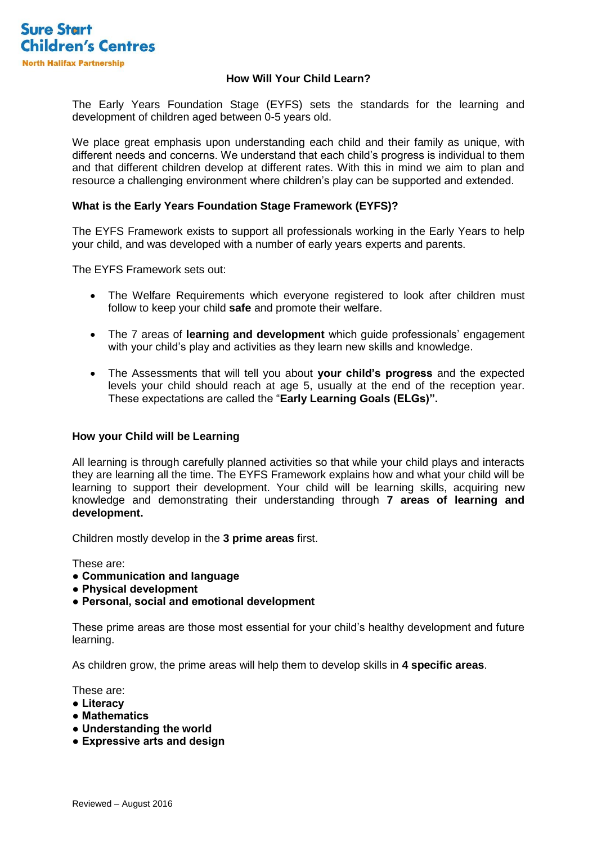

## **How Will Your Child Learn?**

The Early Years Foundation Stage (EYFS) sets the standards for the learning and development of children aged between 0-5 years old.

We place great emphasis upon understanding each child and their family as unique, with different needs and concerns. We understand that each child's progress is individual to them and that different children develop at different rates. With this in mind we aim to plan and resource a challenging environment where children's play can be supported and extended.

# **What is the Early Years Foundation Stage Framework (EYFS)?**

The EYFS Framework exists to support all professionals working in the Early Years to help your child, and was developed with a number of early years experts and parents.

The EYFS Framework sets out:

- The Welfare Requirements which everyone registered to look after children must follow to keep your child **safe** and promote their welfare.
- The 7 areas of **learning and development** which guide professionals' engagement with your child's play and activities as they learn new skills and knowledge.
- The Assessments that will tell you about **your child's progress** and the expected levels your child should reach at age 5, usually at the end of the reception year. These expectations are called the "**Early Learning Goals (ELGs)".**

### **How your Child will be Learning**

All learning is through carefully planned activities so that while your child plays and interacts they are learning all the time. The EYFS Framework explains how and what your child will be learning to support their development. Your child will be learning skills, acquiring new knowledge and demonstrating their understanding through **7 areas of learning and development.**

Children mostly develop in the **3 prime areas** first.

These are:

- **Communication and language**
- **Physical development**
- **Personal, social and emotional development**

These prime areas are those most essential for your child's healthy development and future learning.

As children grow, the prime areas will help them to develop skills in **4 specific areas**.

These are:

- **Literacy**
- **Mathematics**
- **Understanding the world**
- **Expressive arts and design**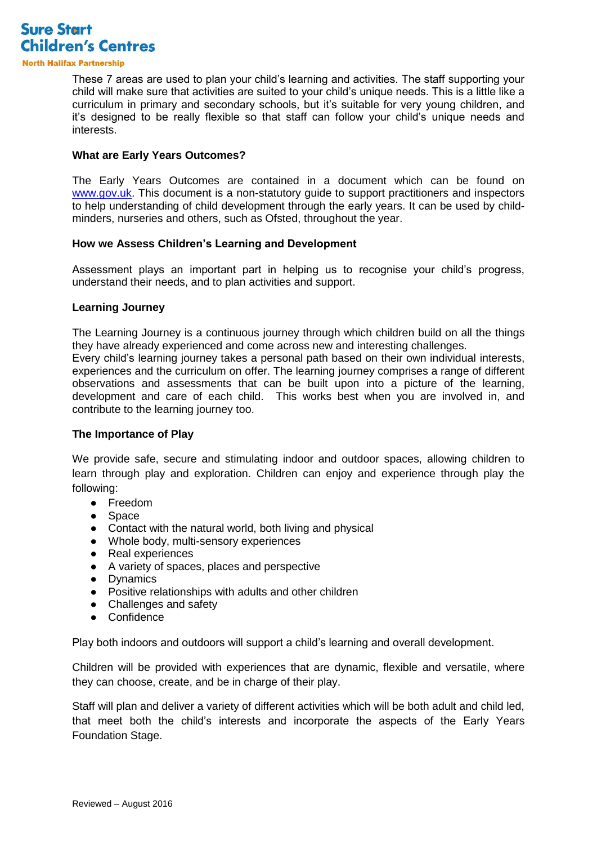

**North Halifax Partnership** 

These 7 areas are used to plan your child's learning and activities. The staff supporting your child will make sure that activities are suited to your child's unique needs. This is a little like a curriculum in primary and secondary schools, but it's suitable for very young children, and it's designed to be really flexible so that staff can follow your child's unique needs and interests.

#### **What are Early Years Outcomes?**

The Early Years Outcomes are contained in a document which can be found on [www.gov.uk.](http://www.gov.uk/) This document is a non-statutory guide to support practitioners and inspectors to help understanding of child development through the early years. It can be used by childminders, nurseries and others, such as Ofsted, throughout the year.

#### **How we Assess Children's Learning and Development**

Assessment plays an important part in helping us to recognise your child's progress, understand their needs, and to plan activities and support.

#### **Learning Journey**

The Learning Journey is a continuous journey through which children build on all the things they have already experienced and come across new and interesting challenges.

Every child's learning journey takes a personal path based on their own individual interests, experiences and the curriculum on offer. The learning journey comprises a range of different observations and assessments that can be built upon into a picture of the learning, development and care of each child. This works best when you are involved in, and contribute to the learning journey too.

### **The Importance of Play**

We provide safe, secure and stimulating indoor and outdoor spaces, allowing children to learn through play and exploration. Children can enjoy and experience through play the following:

- Freedom
- Space
- Contact with the natural world, both living and physical
- Whole body, multi-sensory experiences
- Real experiences
- A variety of spaces, places and perspective
- Dynamics
- Positive relationships with adults and other children
- Challenges and safety
- Confidence

Play both indoors and outdoors will support a child's learning and overall development.

Children will be provided with experiences that are dynamic, flexible and versatile, where they can choose, create, and be in charge of their play.

Staff will plan and deliver a variety of different activities which will be both adult and child led, that meet both the child's interests and incorporate the aspects of the Early Years Foundation Stage.